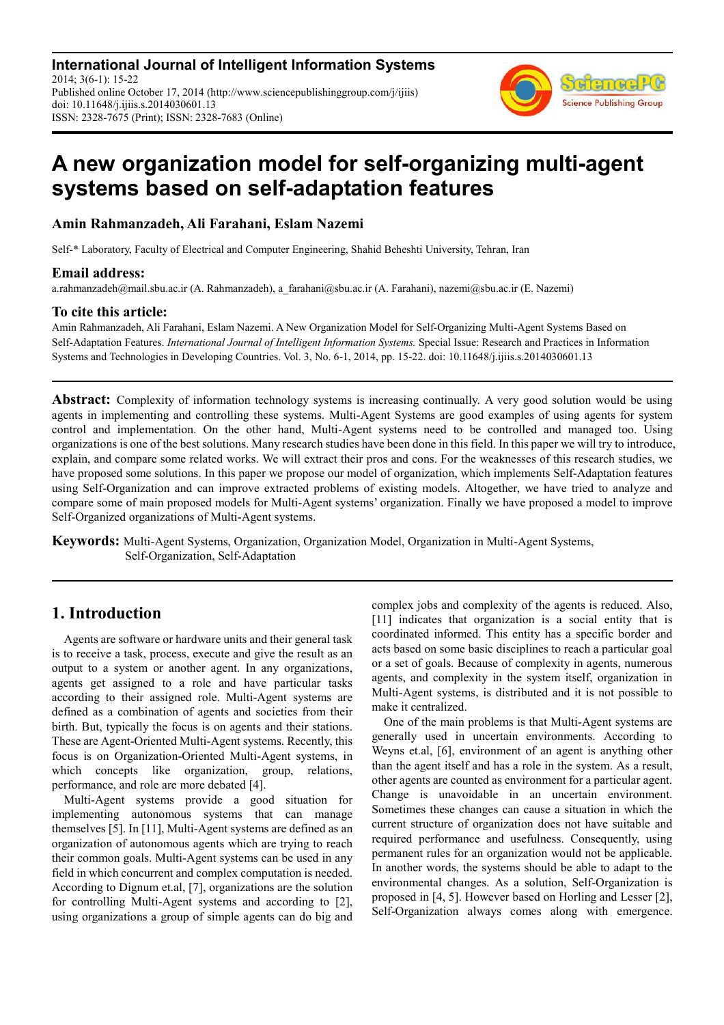**International Journal of Intelligent Information Systems** 2014; 3(6-1): 15-22 Published online October 17, 2014 (http://www.sciencepublishinggroup.com/j/ijiis) doi: 10.11648/j.ijiis.s.2014030601.13 ISSN: 2328-7675 (Print); ISSN: 2328-7683 (Online)



# **A new organization model for self-organizing multi-agent systems based on self-adaptation features**

## **Amin Rahmanzadeh, Ali Farahani, Eslam Nazemi**

Self-\* Laboratory, Faculty of Electrical and Computer Engineering, Shahid Beheshti University, Tehran, Iran

### **Email address:**

a.rahmanzadeh@mail.sbu.ac.ir (A. Rahmanzadeh), a\_farahani@sbu.ac.ir (A. Farahani), nazemi@sbu.ac.ir (E. Nazemi)

### **To cite this article:**

Amin Rahmanzadeh, Ali Farahani, Eslam Nazemi. A New Organization Model for Self-Organizing Multi-Agent Systems Based on Self-Adaptation Features. *International Journal of Intelligent Information Systems.* Special Issue: Research and Practices in Information Systems and Technologies in Developing Countries. Vol. 3, No. 6-1, 2014, pp. 15-22. doi: 10.11648/j.ijiis.s.2014030601.13

**Abstract:** Complexity of information technology systems is increasing continually. A very good solution would be using agents in implementing and controlling these systems. Multi-Agent Systems are good examples of using agents for system control and implementation. On the other hand, Multi-Agent systems need to be controlled and managed too. Using organizations is one of the best solutions. Many research studies have been done in this field. In this paper we will try to introduce, explain, and compare some related works. We will extract their pros and cons. For the weaknesses of this research studies, we have proposed some solutions. In this paper we propose our model of organization, which implements Self-Adaptation features using Self-Organization and can improve extracted problems of existing models. Altogether, we have tried to analyze and compare some of main proposed models for Multi-Agent systems' organization. Finally we have proposed a model to improve Self-Organized organizations of Multi-Agent systems.

**Keywords:** Multi-Agent Systems, Organization, Organization Model, Organization in Multi-Agent Systems, Self-Organization, Self-Adaptation

# **1. Introduction**

Agents are software or hardware units and their general task is to receive a task, process, execute and give the result as an output to a system or another agent. In any organizations, agents get assigned to a role and have particular tasks according to their assigned role. Multi-Agent systems are defined as a combination of agents and societies from their birth. But, typically the focus is on agents and their stations. These are Agent-Oriented Multi-Agent systems. Recently, this focus is on Organization-Oriented Multi-Agent systems, in which concepts like organization, group, relations, performance, and role are more debated [4].

Multi-Agent systems provide a good situation for implementing autonomous systems that can manage themselves [5]. In [11], Multi-Agent systems are defined as an organization of autonomous agents which are trying to reach their common goals. Multi-Agent systems can be used in any field in which concurrent and complex computation is needed. According to Dignum et.al, [7], organizations are the solution for controlling Multi-Agent systems and according to [2], using organizations a group of simple agents can do big and complex jobs and complexity of the agents is reduced. Also, [11] indicates that organization is a social entity that is coordinated informed. This entity has a specific border and acts based on some basic disciplines to reach a particular goal or a set of goals. Because of complexity in agents, numerous agents, and complexity in the system itself, organization in Multi-Agent systems, is distributed and it is not possible to make it centralized.

One of the main problems is that Multi-Agent systems are generally used in uncertain environments. According to Weyns et.al, [6], environment of an agent is anything other than the agent itself and has a role in the system. As a result, other agents are counted as environment for a particular agent. Change is unavoidable in an uncertain environment. Sometimes these changes can cause a situation in which the current structure of organization does not have suitable and required performance and usefulness. Consequently, using permanent rules for an organization would not be applicable. In another words, the systems should be able to adapt to the environmental changes. As a solution, Self-Organization is proposed in [4, 5]. However based on Horling and Lesser [2], Self-Organization always comes along with emergence.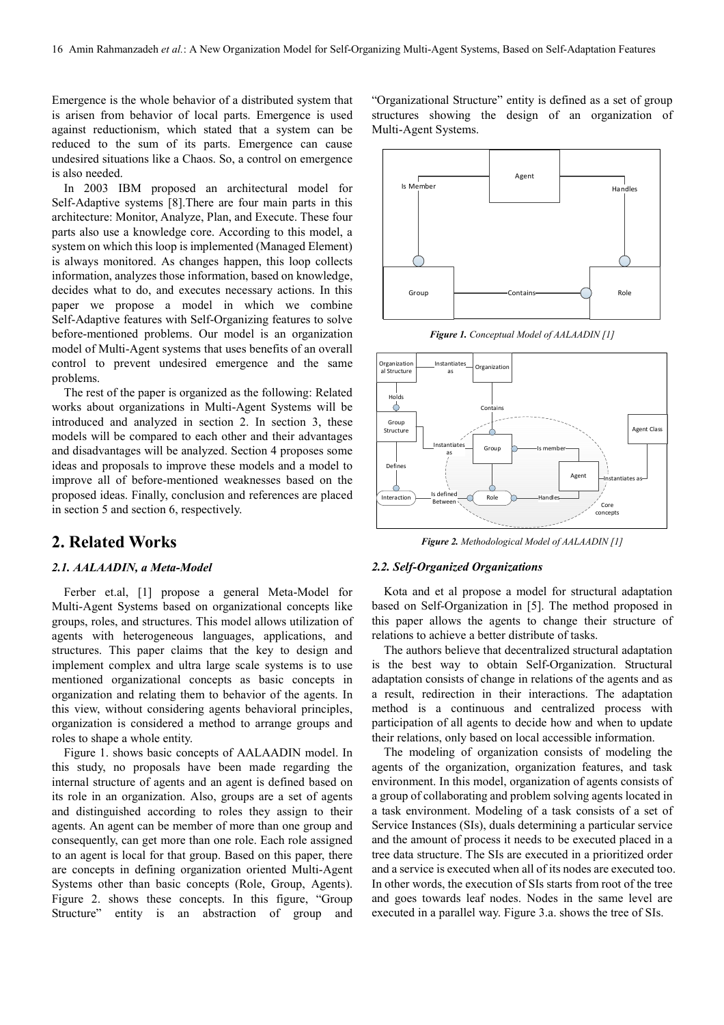Emergence is the whole behavior of a distributed system that is arisen from behavior of local parts. Emergence is used against reductionism, which stated that a system can be reduced to the sum of its parts. Emergence can cause undesired situations like a Chaos. So, a control on emergence is also needed.

In 2003 IBM proposed an architectural model for Self-Adaptive systems [8].There are four main parts in this architecture: Monitor, Analyze, Plan, and Execute. These four parts also use a knowledge core. According to this model, a system on which this loop is implemented (Managed Element) is always monitored. As changes happen, this loop collects information, analyzes those information, based on knowledge, decides what to do, and executes necessary actions. In this paper we propose a model in which we combine Self-Adaptive features with Self-Organizing features to solve before-mentioned problems. Our model is an organization model of Multi-Agent systems that uses benefits of an overall control to prevent undesired emergence and the same problems.

The rest of the paper is organized as the following: Related works about organizations in Multi-Agent Systems will be introduced and analyzed in section 2. In section 3, these models will be compared to each other and their advantages and disadvantages will be analyzed. Section 4 proposes some ideas and proposals to improve these models and a model to improve all of before-mentioned weaknesses based on the proposed ideas. Finally, conclusion and references are placed in section 5 and section 6, respectively.

# **2. Related Works**

#### *2.1. AALAADIN, a Meta-Model*

Ferber et.al, [1] propose a general Meta-Model for Multi-Agent Systems based on organizational concepts like groups, roles, and structures. This model allows utilization of agents with heterogeneous languages, applications, and structures. This paper claims that the key to design and implement complex and ultra large scale systems is to use mentioned organizational concepts as basic concepts in organization and relating them to behavior of the agents. In this view, without considering agents behavioral principles, organization is considered a method to arrange groups and roles to shape a whole entity.

Figure 1. shows basic concepts of AALAADIN model. In this study, no proposals have been made regarding the internal structure of agents and an agent is defined based on its role in an organization. Also, groups are a set of agents and distinguished according to roles they assign to their agents. An agent can be member of more than one group and consequently, can get more than one role. Each role assigned to an agent is local for that group. Based on this paper, there are concepts in defining organization oriented Multi-Agent Systems other than basic concepts (Role, Group, Agents). Figure 2. shows these concepts. In this figure, "Group Structure" entity is an abstraction of group and "Organizational Structure" entity is defined as a set of group structures showing the design of an organization of Multi-Agent Systems.



*Figure 1. Conceptual Model of AALAADIN [1]* 



*Figure 2. Methodological Model of AALAADIN [1]* 

#### *2.2. Self-Organized Organizations*

Kota and et al propose a model for structural adaptation based on Self-Organization in [5]. The method proposed in this paper allows the agents to change their structure of relations to achieve a better distribute of tasks.

The authors believe that decentralized structural adaptation is the best way to obtain Self-Organization. Structural adaptation consists of change in relations of the agents and as a result, redirection in their interactions. The adaptation method is a continuous and centralized process with participation of all agents to decide how and when to update their relations, only based on local accessible information.

The modeling of organization consists of modeling the agents of the organization, organization features, and task environment. In this model, organization of agents consists of a group of collaborating and problem solving agents located in a task environment. Modeling of a task consists of a set of Service Instances (SIs), duals determining a particular service and the amount of process it needs to be executed placed in a tree data structure. The SIs are executed in a prioritized order and a service is executed when all of its nodes are executed too. In other words, the execution of SIs starts from root of the tree and goes towards leaf nodes. Nodes in the same level are executed in a parallel way. Figure 3.a. shows the tree of SIs.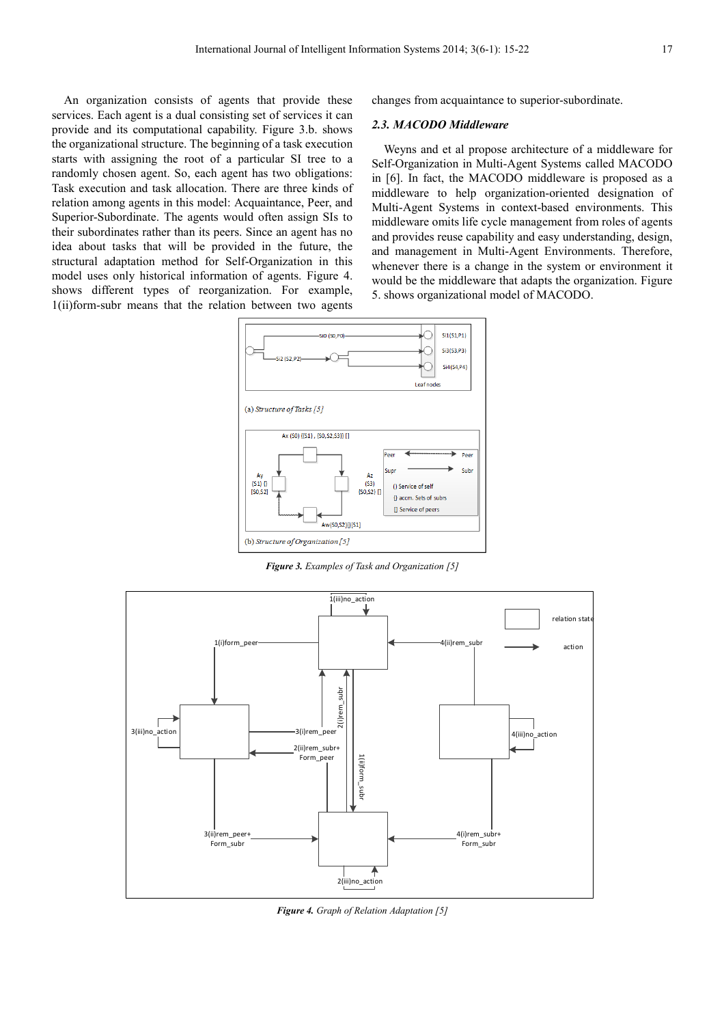An organization consists of agents that provide these services. Each agent is a dual consisting set of services it can provide and its computational capability. Figure 3.b. shows the organizational structure. The beginning of a task execution starts with assigning the root of a particular SI tree to a randomly chosen agent. So, each agent has two obligations: Task execution and task allocation. There are three kinds of relation among agents in this model: Acquaintance, Peer, and Superior-Subordinate. The agents would often assign SIs to their subordinates rather than its peers. Since an agent has no idea about tasks that will be provided in the future, the structural adaptation method for Self-Organization in this model uses only historical information of agents. Figure 4. shows different types of reorganization. For example, 1(ii)form-subr means that the relation between two agents

changes from acquaintance to superior-subordinate.

#### *2.3. MACODO Middleware*

Weyns and et al propose architecture of a middleware for Self-Organization in Multi-Agent Systems called MACODO in [6]. In fact, the MACODO middleware is proposed as a middleware to help organization-oriented designation of Multi-Agent Systems in context-based environments. This middleware omits life cycle management from roles of agents and provides reuse capability and easy understanding, design, and management in Multi-Agent Environments. Therefore, whenever there is a change in the system or environment it would be the middleware that adapts the organization. Figure 5. shows organizational model of MACODO.



*Figure 3. Examples of Task and Organization [5]* 



*Figure 4. Graph of Relation Adaptation [5]*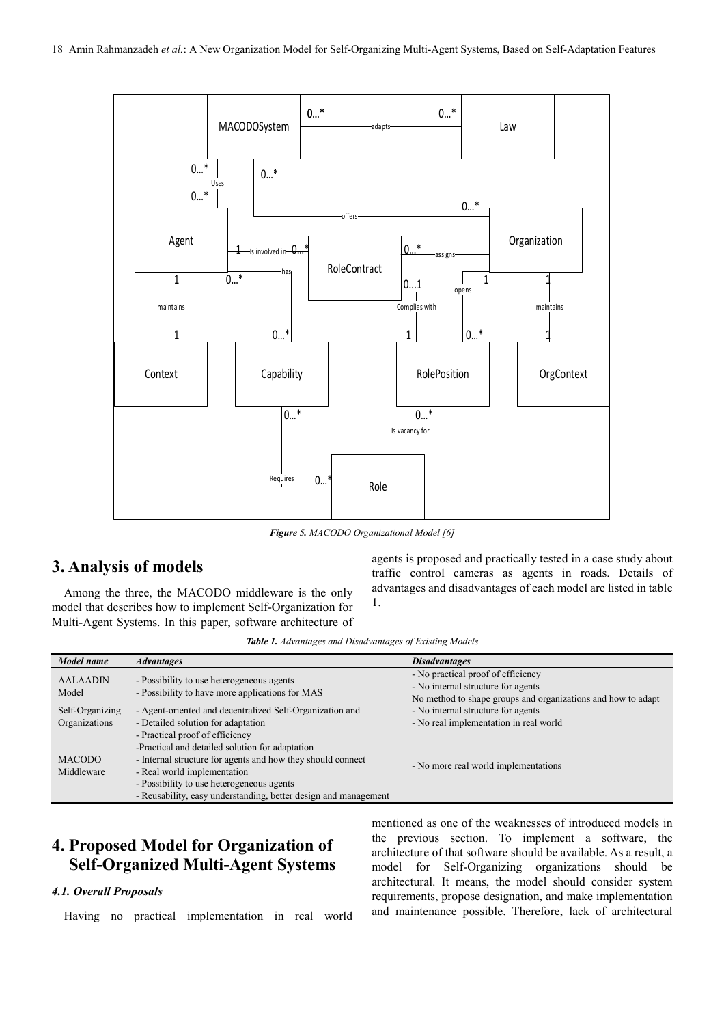

*Figure 5. MACODO Organizational Model [6]* 

# **3. Analysis of models**

Among the three, the MACODO middleware is the only model that describes how to implement Self-Organization for Multi-Agent Systems. In this paper, software architecture of agents is proposed and practically tested in a case study about traffic control cameras as agents in roads. Details of advantages and disadvantages of each model are listed in table 1.

*Table 1. Advantages and Disadvantages of Existing Models* 

| Model name      | <i><b>Advantages</b></i>                                        | <b>Disadvantages</b>                                         |
|-----------------|-----------------------------------------------------------------|--------------------------------------------------------------|
| <b>AALAADIN</b> | - Possibility to use heterogeneous agents                       | - No practical proof of efficiency                           |
|                 |                                                                 | - No internal structure for agents                           |
| Model           | - Possibility to have more applications for MAS                 | No method to shape groups and organizations and how to adapt |
| Self-Organizing | - Agent-oriented and decentralized Self-Organization and        | - No internal structure for agents                           |
| Organizations   | - Detailed solution for adaptation                              | - No real implementation in real world                       |
|                 | - Practical proof of efficiency                                 |                                                              |
|                 | -Practical and detailed solution for adaptation                 |                                                              |
| <b>MACODO</b>   | - Internal structure for agents and how they should connect     | - No more real world implementations                         |
| Middleware      | - Real world implementation                                     |                                                              |
|                 | - Possibility to use heterogeneous agents                       |                                                              |
|                 | - Reusability, easy understanding, better design and management |                                                              |

# **4. Proposed Model for Organization of Self-Organized Multi-Agent Systems**

#### *4.1. Overall Proposals*

Having no practical implementation in real world

mentioned as one of the weaknesses of introduced models in the previous section. To implement a software, the architecture of that software should be available. As a result, a model for Self-Organizing organizations should be architectural. It means, the model should consider system requirements, propose designation, and make implementation and maintenance possible. Therefore, lack of architectural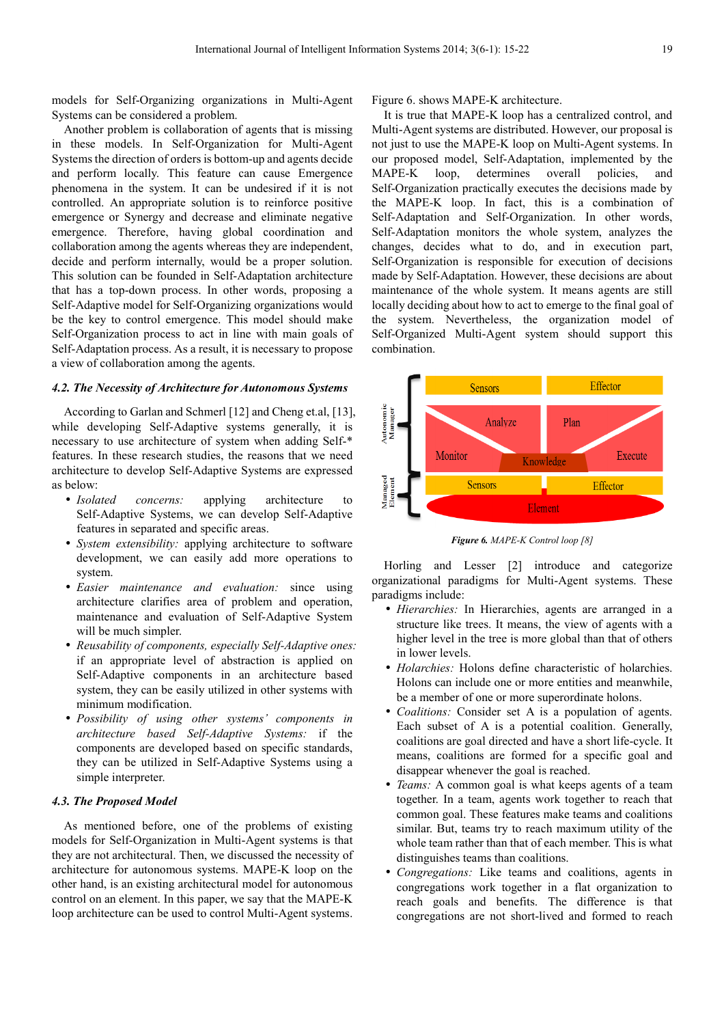models for Self-Organizing organizations in Multi-Agent Systems can be considered a problem.

Another problem is collaboration of agents that is missing in these models. In Self-Organization for Multi-Agent Systems the direction of orders is bottom-up and agents decide and perform locally. This feature can cause Emergence phenomena in the system. It can be undesired if it is not controlled. An appropriate solution is to reinforce positive emergence or Synergy and decrease and eliminate negative emergence. Therefore, having global coordination and collaboration among the agents whereas they are independent, decide and perform internally, would be a proper solution. This solution can be founded in Self-Adaptation architecture that has a top-down process. In other words, proposing a Self-Adaptive model for Self-Organizing organizations would be the key to control emergence. This model should make Self-Organization process to act in line with main goals of Self-Adaptation process. As a result, it is necessary to propose a view of collaboration among the agents.

#### *4.2. The Necessity of Architecture for Autonomous Systems*

According to Garlan and Schmerl [12] and Cheng et.al, [13], while developing Self-Adaptive systems generally, it is necessary to use architecture of system when adding Self-\* features. In these research studies, the reasons that we need architecture to develop Self-Adaptive Systems are expressed as below:

- *Isolated concerns:* applying architecture to Self-Adaptive Systems, we can develop Self-Adaptive features in separated and specific areas.
- *System extensibility:* applying architecture to software development, we can easily add more operations to system.
- *Easier maintenance and evaluation:* since using architecture clarifies area of problem and operation, maintenance and evaluation of Self-Adaptive System will be much simpler.
- *Reusability of components, especially Self-Adaptive ones:* if an appropriate level of abstraction is applied on Self-Adaptive components in an architecture based system, they can be easily utilized in other systems with minimum modification.
- *Possibility of using other systems' components in architecture based Self-Adaptive Systems:* if the components are developed based on specific standards, they can be utilized in Self-Adaptive Systems using a simple interpreter.

#### *4.3. The Proposed Model*

As mentioned before, one of the problems of existing models for Self-Organization in Multi-Agent systems is that they are not architectural. Then, we discussed the necessity of architecture for autonomous systems. MAPE-K loop on the other hand, is an existing architectural model for autonomous control on an element. In this paper, we say that the MAPE-K loop architecture can be used to control Multi-Agent systems. Figure 6. shows MAPE-K architecture.

It is true that MAPE-K loop has a centralized control, and Multi-Agent systems are distributed. However, our proposal is not just to use the MAPE-K loop on Multi-Agent systems. In our proposed model, Self-Adaptation, implemented by the MAPE-K loop, determines overall policies, and Self-Organization practically executes the decisions made by the MAPE-K loop. In fact, this is a combination of Self-Adaptation and Self-Organization. In other words, Self-Adaptation monitors the whole system, analyzes the changes, decides what to do, and in execution part, Self-Organization is responsible for execution of decisions made by Self-Adaptation. However, these decisions are about maintenance of the whole system. It means agents are still locally deciding about how to act to emerge to the final goal of the system. Nevertheless, the organization model of Self-Organized Multi-Agent system should support this combination.



*Figure 6. MAPE-K Control loop [8]* 

Horling and Lesser [2] introduce and categorize organizational paradigms for Multi-Agent systems. These paradigms include:

- *Hierarchies:* In Hierarchies, agents are arranged in a structure like trees. It means, the view of agents with a higher level in the tree is more global than that of others in lower levels.
- *Holarchies:* Holons define characteristic of holarchies. Holons can include one or more entities and meanwhile, be a member of one or more superordinate holons.
- *Coalitions:* Consider set A is a population of agents. Each subset of A is a potential coalition. Generally, coalitions are goal directed and have a short life-cycle. It means, coalitions are formed for a specific goal and disappear whenever the goal is reached.
- *Teams:* A common goal is what keeps agents of a team together. In a team, agents work together to reach that common goal. These features make teams and coalitions similar. But, teams try to reach maximum utility of the whole team rather than that of each member. This is what distinguishes teams than coalitions.
- *Congregations:* Like teams and coalitions, agents in congregations work together in a flat organization to reach goals and benefits. The difference is that congregations are not short-lived and formed to reach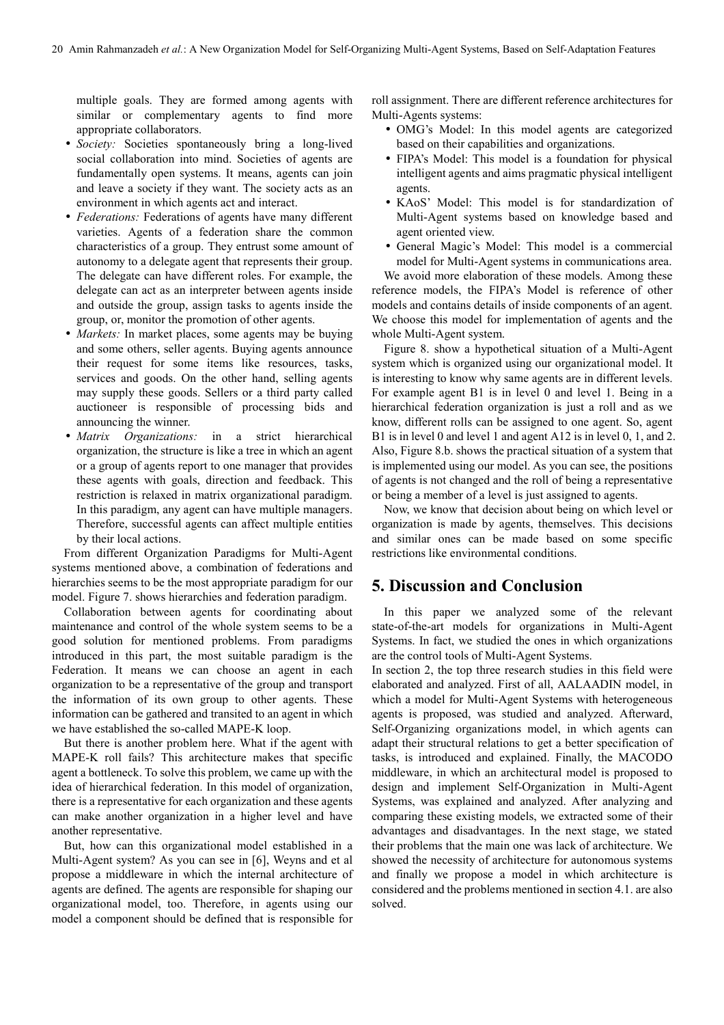multiple goals. They are formed among agents with similar or complementary agents to find more appropriate collaborators.

- *Society:* Societies spontaneously bring a long-lived social collaboration into mind. Societies of agents are fundamentally open systems. It means, agents can join and leave a society if they want. The society acts as an environment in which agents act and interact.
- *Federations:* Federations of agents have many different varieties. Agents of a federation share the common characteristics of a group. They entrust some amount of autonomy to a delegate agent that represents their group. The delegate can have different roles. For example, the delegate can act as an interpreter between agents inside and outside the group, assign tasks to agents inside the group, or, monitor the promotion of other agents.
- *Markets:* In market places, some agents may be buying and some others, seller agents. Buying agents announce their request for some items like resources, tasks, services and goods. On the other hand, selling agents may supply these goods. Sellers or a third party called auctioneer is responsible of processing bids and announcing the winner.
- *Matrix Organizations:* in a strict hierarchical organization, the structure is like a tree in which an agent or a group of agents report to one manager that provides these agents with goals, direction and feedback. This restriction is relaxed in matrix organizational paradigm. In this paradigm, any agent can have multiple managers. Therefore, successful agents can affect multiple entities by their local actions.

From different Organization Paradigms for Multi-Agent systems mentioned above, a combination of federations and hierarchies seems to be the most appropriate paradigm for our model. Figure 7. shows hierarchies and federation paradigm.

Collaboration between agents for coordinating about maintenance and control of the whole system seems to be a good solution for mentioned problems. From paradigms introduced in this part, the most suitable paradigm is the Federation. It means we can choose an agent in each organization to be a representative of the group and transport the information of its own group to other agents. These information can be gathered and transited to an agent in which we have established the so-called MAPE-K loop.

But there is another problem here. What if the agent with MAPE-K roll fails? This architecture makes that specific agent a bottleneck. To solve this problem, we came up with the idea of hierarchical federation. In this model of organization, there is a representative for each organization and these agents can make another organization in a higher level and have another representative.

But, how can this organizational model established in a Multi-Agent system? As you can see in [6], Weyns and et al propose a middleware in which the internal architecture of agents are defined. The agents are responsible for shaping our organizational model, too. Therefore, in agents using our model a component should be defined that is responsible for roll assignment. There are different reference architectures for Multi-Agents systems:

- OMG's Model: In this model agents are categorized based on their capabilities and organizations.
- FIPA's Model: This model is a foundation for physical intelligent agents and aims pragmatic physical intelligent agents.
- KAoS' Model: This model is for standardization of Multi-Agent systems based on knowledge based and agent oriented view.
- General Magic's Model: This model is a commercial model for Multi-Agent systems in communications area.

We avoid more elaboration of these models. Among these reference models, the FIPA's Model is reference of other models and contains details of inside components of an agent. We choose this model for implementation of agents and the whole Multi-Agent system.

Figure 8. show a hypothetical situation of a Multi-Agent system which is organized using our organizational model. It is interesting to know why same agents are in different levels. For example agent B1 is in level 0 and level 1. Being in a hierarchical federation organization is just a roll and as we know, different rolls can be assigned to one agent. So, agent B1 is in level 0 and level 1 and agent A12 is in level 0, 1, and 2. Also, Figure 8.b. shows the practical situation of a system that is implemented using our model. As you can see, the positions of agents is not changed and the roll of being a representative or being a member of a level is just assigned to agents.

Now, we know that decision about being on which level or organization is made by agents, themselves. This decisions and similar ones can be made based on some specific restrictions like environmental conditions.

# **5. Discussion and Conclusion**

In this paper we analyzed some of the relevant state-of-the-art models for organizations in Multi-Agent Systems. In fact, we studied the ones in which organizations are the control tools of Multi-Agent Systems.

In section 2, the top three research studies in this field were elaborated and analyzed. First of all, AALAADIN model, in which a model for Multi-Agent Systems with heterogeneous agents is proposed, was studied and analyzed. Afterward, Self-Organizing organizations model, in which agents can adapt their structural relations to get a better specification of tasks, is introduced and explained. Finally, the MACODO middleware, in which an architectural model is proposed to design and implement Self-Organization in Multi-Agent Systems, was explained and analyzed. After analyzing and comparing these existing models, we extracted some of their advantages and disadvantages. In the next stage, we stated their problems that the main one was lack of architecture. We showed the necessity of architecture for autonomous systems and finally we propose a model in which architecture is considered and the problems mentioned in section 4.1. are also solved.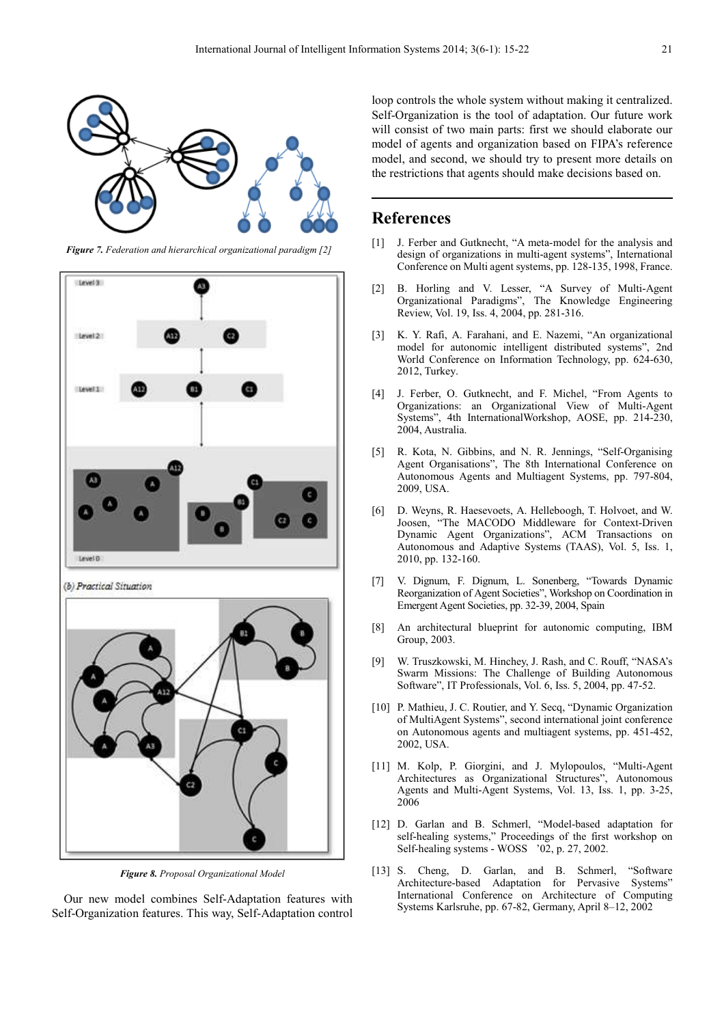

*Figure 7. Federation and hierarchical organizational paradigm [2]* 



(b) Practical Situation



*Figure 8. Proposal Organizational Model* 

Our new model combines Self-Adaptation features with Self-Organization features. This way, Self-Adaptation control loop controls the whole system without making it centralized. Self-Organization is the tool of adaptation. Our future work will consist of two main parts: first we should elaborate our model of agents and organization based on FIPA's reference model, and second, we should try to present more details on the restrictions that agents should make decisions based on.

### **References**

- [1] J. Ferber and Gutknecht, "A meta-model for the analysis and design of organizations in multi-agent systems", International Conference on Multi agent systems, pp. 128-135, 1998, France.
- [2] B. Horling and V. Lesser, "A Survey of Multi-Agent Organizational Paradigms", The Knowledge Engineering Review, Vol. 19, Iss. 4, 2004, pp. 281-316.
- [3] K. Y. Rafi, A. Farahani, and E. Nazemi, "An organizational model for autonomic intelligent distributed systems", 2nd World Conference on Information Technology, pp. 624-630, 2012, Turkey.
- [4] J. Ferber, O. Gutknecht, and F. Michel, "From Agents to Organizations: an Organizational View of Multi-Agent Systems", 4th InternationalWorkshop, AOSE, pp. 214-230, 2004, Australia.
- [5] R. Kota, N. Gibbins, and N. R. Jennings, "Self-Organising Agent Organisations", The 8th International Conference on Autonomous Agents and Multiagent Systems, pp. 797-804, 2009, USA.
- [6] D. Weyns, R. Haesevoets, A. Helleboogh, T. Holvoet, and W. Joosen, "The MACODO Middleware for Context-Driven Dynamic Agent Organizations", ACM Transactions on Autonomous and Adaptive Systems (TAAS), Vol. 5, Iss. 1, 2010, pp. 132-160.
- [7] V. Dignum, F. Dignum, L. Sonenberg, "Towards Dynamic Reorganization of Agent Societies", Workshop on Coordination in Emergent Agent Societies, pp. 32-39, 2004, Spain
- [8] An architectural blueprint for autonomic computing, IBM Group, 2003.
- [9] W. Truszkowski, M. Hinchey, J. Rash, and C. Rouff, "NASA's Swarm Missions: The Challenge of Building Autonomous Software", IT Professionals, Vol. 6, Iss. 5, 2004, pp. 47-52.
- [10] P. Mathieu, J. C. Routier, and Y. Secq, "Dynamic Organization" of MultiAgent Systems", second international joint conference on Autonomous agents and multiagent systems, pp. 451-452, 2002, USA.
- [11] M. Kolp, P. Giorgini, and J. Mylopoulos, "Multi-Agent Architectures as Organizational Structures", Autonomous Agents and Multi-Agent Systems, Vol. 13, Iss. 1, pp. 3-25, 2006
- [12] D. Garlan and B. Schmerl, "Model-based adaptation for self-healing systems," Proceedings of the first workshop on Self-healing systems - WOSS '02, p. 27, 2002.
- [13] S. Cheng, D. Garlan, and B. Schmerl, "Software Architecture-based Adaptation for Pervasive Systems" International Conference on Architecture of Computing Systems Karlsruhe, pp. 67-82, Germany, April 8–12, 2002